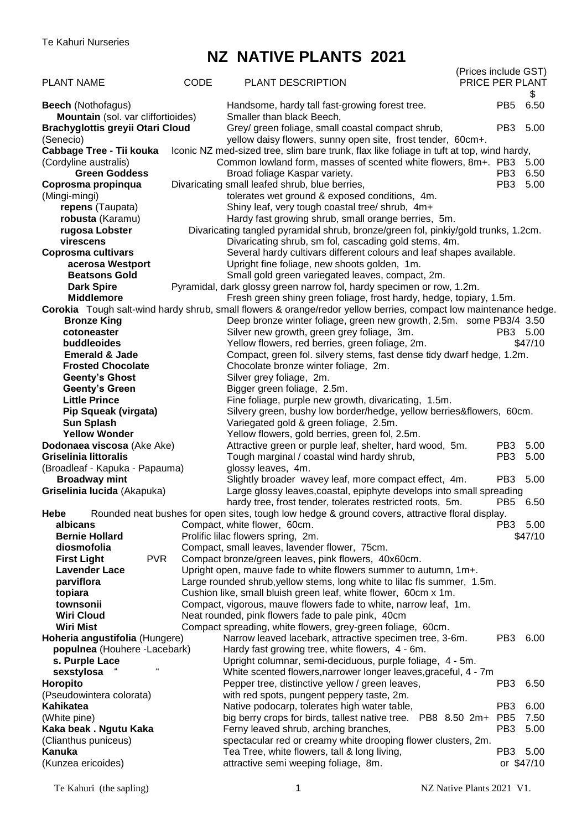# **NZ NATIVE PLANTS 2021**

|                                                                |             |                                                                                                                                             | (Prices include GST)                       |
|----------------------------------------------------------------|-------------|---------------------------------------------------------------------------------------------------------------------------------------------|--------------------------------------------|
| <b>PLANT NAME</b>                                              | <b>CODE</b> | <b>PLANT DESCRIPTION</b>                                                                                                                    | PRICE PER PLANT<br>\$                      |
| <b>Beech</b> (Nothofagus)                                      |             | Handsome, hardy tall fast-growing forest tree.                                                                                              | 6.50<br>PB <sub>5</sub>                    |
| Mountain (sol. var cliffortioides)                             |             | Smaller than black Beech,                                                                                                                   |                                            |
| <b>Brachyglottis greyii Otari Cloud</b><br>(Senecio)           |             | Grey/ green foliage, small coastal compact shrub,<br>yellow daisy flowers, sunny open site, frost tender, 60cm+.                            | PB <sub>3</sub><br>5.00                    |
| Cabbage Tree - Tii kouka                                       |             | Iconic NZ med-sized tree, slim bare trunk, flax like foliage in tuft at top, wind hardy,                                                    |                                            |
| (Cordyline australis)                                          |             | Common lowland form, masses of scented white flowers, 8m+. PB3 5.00                                                                         |                                            |
| <b>Green Goddess</b>                                           |             | Broad foliage Kaspar variety.                                                                                                               | 6.50<br>PB <sub>3</sub>                    |
| Coprosma propinqua                                             |             | Divaricating small leafed shrub, blue berries,                                                                                              | PB <sub>3</sub><br>5.00                    |
| (Mingi-mingi)                                                  |             | tolerates wet ground & exposed conditions, 4m.                                                                                              |                                            |
| repens (Taupata)                                               |             | Shiny leaf, very tough coastal tree/ shrub, 4m+                                                                                             |                                            |
| robusta (Karamu)                                               |             | Hardy fast growing shrub, small orange berries, 5m.                                                                                         |                                            |
| rugosa Lobster<br>virescens                                    |             | Divaricating tangled pyramidal shrub, bronze/green fol, pinkiy/gold trunks, 1.2cm.<br>Divaricating shrub, sm fol, cascading gold stems, 4m. |                                            |
| Coprosma cultivars                                             |             | Several hardy cultivars different colours and leaf shapes available.                                                                        |                                            |
| acerosa Westport                                               |             | Upright fine foliage, new shoots golden, 1m.                                                                                                |                                            |
| <b>Beatsons Gold</b>                                           |             | Small gold green variegated leaves, compact, 2m.                                                                                            |                                            |
| <b>Dark Spire</b>                                              |             | Pyramidal, dark glossy green narrow fol, hardy specimen or row, 1.2m.                                                                       |                                            |
| <b>Middlemore</b>                                              |             | Fresh green shiny green foliage, frost hardy, hedge, topiary, 1.5m.                                                                         |                                            |
|                                                                |             | Corokia Tough salt-wind hardy shrub, small flowers & orange/redor yellow berries, compact low maintenance hedge.                            |                                            |
| <b>Bronze King</b>                                             |             | Deep bronze winter foliage, green new growth, 2.5m. some PB3/4 3.50                                                                         |                                            |
| cotoneaster<br>buddleoides                                     |             | Silver new growth, green grey foliage, 3m.<br>Yellow flowers, red berries, green foliage, 2m.                                               | PB3 5.00<br>\$47/10                        |
| <b>Emerald &amp; Jade</b>                                      |             | Compact, green fol. silvery stems, fast dense tidy dwarf hedge, 1.2m.                                                                       |                                            |
| <b>Frosted Chocolate</b>                                       |             | Chocolate bronze winter foliage, 2m.                                                                                                        |                                            |
| <b>Geenty's Ghost</b>                                          |             | Silver grey foliage, 2m.                                                                                                                    |                                            |
| <b>Geenty's Green</b>                                          |             | Bigger green foliage, 2.5m.                                                                                                                 |                                            |
| <b>Little Prince</b>                                           |             | Fine foliage, purple new growth, divaricating, 1.5m.                                                                                        |                                            |
| Pip Squeak (virgata)                                           |             | Silvery green, bushy low border/hedge, yellow berries&flowers, 60cm.                                                                        |                                            |
| <b>Sun Splash</b>                                              |             | Variegated gold & green foliage, 2.5m.                                                                                                      |                                            |
| <b>Yellow Wonder</b>                                           |             | Yellow flowers, gold berries, green fol, 2.5m.                                                                                              | 5.00                                       |
| Dodonaea viscosa (Ake Ake)<br><b>Griselinia littoralis</b>     |             | Attractive green or purple leaf, shelter, hard wood, 5m.<br>Tough marginal / coastal wind hardy shrub,                                      | PB <sub>3</sub><br>PB <sub>3</sub><br>5.00 |
| (Broadleaf - Kapuka - Papauma)                                 |             | glossy leaves, 4m.                                                                                                                          |                                            |
| <b>Broadway mint</b>                                           |             | Slightly broader wavey leaf, more compact effect, 4m.                                                                                       | PB3 5.00                                   |
| Griselinia lucida (Akapuka)                                    |             | Large glossy leaves, coastal, epiphyte develops into small spreading                                                                        |                                            |
|                                                                |             | hardy tree, frost tender, tolerates restricted roots, 5m.                                                                                   | PB5 6.50                                   |
| Hebe                                                           |             | Rounded neat bushes for open sites, tough low hedge & ground covers, attractive floral display.                                             |                                            |
| albicans                                                       |             | Compact, white flower, 60cm.                                                                                                                | PB3 5.00                                   |
| <b>Bernie Hollard</b><br>diosmofolia                           |             | Prolific lilac flowers spring, 2m.<br>Compact, small leaves, lavender flower, 75cm.                                                         | \$47/10                                    |
| <b>First Light</b><br><b>PVR</b>                               |             | Compact bronze/green leaves, pink flowers, 40x60cm.                                                                                         |                                            |
| <b>Lavender Lace</b>                                           |             | Upright open, mauve fade to white flowers summer to autumn, 1m+.                                                                            |                                            |
| parviflora                                                     |             | Large rounded shrub, yellow stems, long white to lilac fls summer, 1.5m.                                                                    |                                            |
| topiara                                                        |             | Cushion like, small bluish green leaf, white flower, 60cm x 1m.                                                                             |                                            |
| townsonii                                                      |             | Compact, vigorous, mauve flowers fade to white, narrow leaf, 1m.                                                                            |                                            |
| <b>Wiri Cloud</b>                                              |             | Neat rounded, pink flowers fade to pale pink, 40cm                                                                                          |                                            |
| <b>Wiri Mist</b>                                               |             | Compact spreading, white flowers, grey-green foliage, 60cm.                                                                                 |                                            |
| Hoheria angustifolia (Hungere)<br>populnea (Houhere -Lacebark) |             | Narrow leaved lacebark, attractive specimen tree, 3-6m.<br>Hardy fast growing tree, white flowers, 4 - 6m.                                  | PB <sub>3</sub><br>6.00                    |
| s. Purple Lace                                                 |             | Upright columnar, semi-deciduous, purple foliage, 4 - 5m.                                                                                   |                                            |
| sexstylosa                                                     |             | White scented flowers, narrower longer leaves, graceful, 4 - 7m                                                                             |                                            |
| Horopito                                                       |             | Pepper tree, distinctive yellow / green leaves,                                                                                             | PB <sub>3</sub><br>6.50                    |
| (Pseudowintera colorata)                                       |             | with red spots, pungent peppery taste, 2m.                                                                                                  |                                            |
| Kahikatea                                                      |             | Native podocarp, tolerates high water table,                                                                                                | PB <sub>3</sub><br>6.00                    |
| (White pine)                                                   |             | big berry crops for birds, tallest native tree. PB8 8.50 2m+ PB5                                                                            | 7.50                                       |
| Kaka beak . Ngutu Kaka                                         |             | Ferny leaved shrub, arching branches,                                                                                                       | 5.00<br>PB <sub>3</sub>                    |
| (Clianthus puniceus)<br>Kanuka                                 |             | spectacular red or creamy white drooping flower clusters, 2m.<br>Tea Tree, white flowers, tall & long living,                               | PB3 5.00                                   |
| (Kunzea ericoides)                                             |             | attractive semi weeping foliage, 8m.                                                                                                        | or \$47/10                                 |
|                                                                |             |                                                                                                                                             |                                            |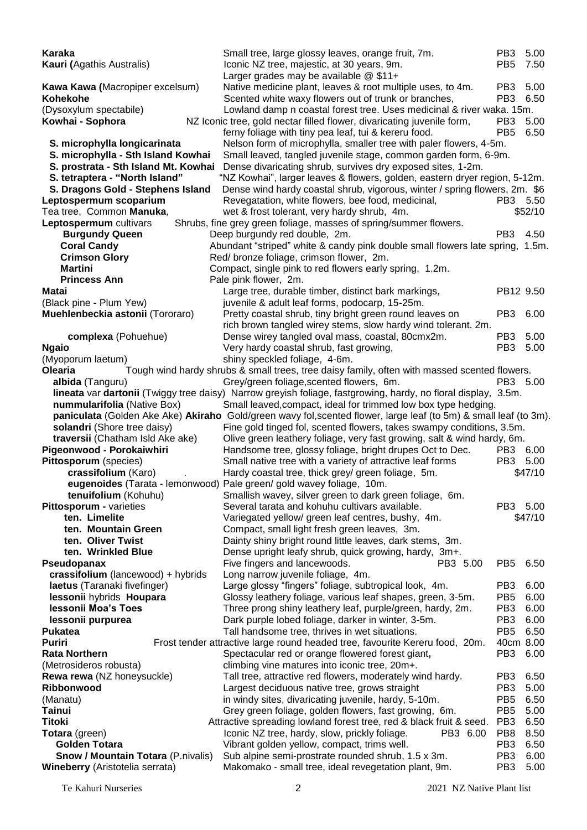**Karaka** Small tree, large glossy leaves, orange fruit, 7m. PB3 5.00<br>**Kauri (**Agathis Australis) lconic NZ tree, majestic, at 30 years, 9m. PB5 7.50 Kauri (Agathis Australis) **Kauri** Iconic NZ tree, majestic, at 30 years, 9m. Larger grades may be available @ \$11+ Kawa Kawa (Macropiper excelsum) Native medicine plant, leaves & root multiple uses, to 4m. PB3 5.00 **Kohekohe** Scented white waxy flowers out of trunk or branches, PB3 6.50 (Dysoxylum spectabile) Lowland damp n coastal forest tree. Uses medicinal & river waka. 15m. **Kowhai - Sophora** NZ Iconic tree, gold nectar filled flower, divaricating juvenile form, PB3 5.00 ferny foliage with tiny pea leaf, tui & kereru food. PB5 6.50 **S. microphylla longicarinata** Nelson form of microphylla, smaller tree with paler flowers, 4-5m. **S. microphylla - Sth Island Kowhai** Small leaved, tangled juvenile stage, common garden form, 6-9m. **S. prostrata - Sth Island Mt. Kowhai** Dense divaricating shrub, survives dry exposed sites, 1-2m. **S. tetraptera - "North Island"** "NZ Kowhai", larger leaves & flowers, golden, eastern dryer region, 5-12m. **S. Dragons Gold - Stephens Island** Dense wind hardy coastal shrub, vigorous, winter / spring flowers, 2m. \$6 **Leptospermum scoparium**<br>
Tea tree, Common **Manuka**, 
Wet & frost tolerant, very hardy shrub, 4m.<br>
S52/10 Tea tree, Common **Manuka**, wet & frost tolerant, very hardy shrub, 4m. **Leptospermum** cultivars Shrubs, fine grey green foliage, masses of spring/summer flowers. **Burgundy Queen Deep burgundy red double, 2m.** PB3 4.50 **Coral Candy Abundant "striped" white & candy pink double small flowers late spring, 1.5m. Crimson Glory Red/ bronze foliage, crimson flower, 2m. Martini Compact, single pink to red flowers early spring, 1.2m. Princess Ann** Pale pink flower, 2m. **Matai Large tree, durable timber, distinct bark markings, PB12 9.50 PB12 9.50** (Black pine - Plum Yew) juvenile & adult leaf forms, podocarp, 15-25m. **Muehlenbeckia astonii** (Tororaro) Pretty coastal shrub, tiny bright green round leaves on PB3 6.00 rich brown tangled wirey stems, slow hardy wind tolerant. 2m. **complexa** (Pohuehue) **Dense wirey tangled oval mass, coastal, 80cmx2m.** PB3 5.00 **Ngaio Very hardy coastal shrub, fast growing, PB3 5.00** PB3 5.00 (Myoporum laetum) shiny speckled foliage, 4-6m. **Olearia** Tough wind hardy shrubs & small trees, tree daisy family, often with massed scented flowers. **albida** (Tanguru) Grey/green foliage, scented flowers, 6m. PB3 5.00 **lineata** var **dartonii** (Twiggy tree daisy)Narrow greyish foliage, fastgrowing, hardy, no floral display, 3.5m. **nummularifolia** (Native Box) Small leaved,compact, ideal for trimmed low box type hedging. **paniculata** (Golden Ake Ake) **Akiraho** Gold/green wavy fol,scented flower, large leaf (to 5m) & small leaf (to 3m). **solandri** (Shore tree daisy) Fine gold tinged fol, scented flowers, takes swampy conditions, 3.5m. **traversii** (Chatham Isld Ake ake) Olive green leathery foliage, very fast growing, salt & wind hardy, 6m. **Pigeonwood - Porokaiwhiri** Handsome tree, glossy foliage, bright drupes Oct to Dec. PB3 6.00 **Pittosporum** (species) Small native tree with a variety of attractive leaf forms PB3 5.00 **crassifolium** (Karo) . Hardy coastal tree, thick grey/ green foliage, 5m. \$47/10 **eugenoides** (Tarata - lemonwood) Pale green/ gold wavey foliage, 10m. **tenuifolium** (Kohuhu) Smallish wavey, silver green to dark green foliage, 6m. **Pittosporum -** varieties Several tarata and kohuhu cultivars available. PB3 5.00 **ten. Limelite Variegated yellow/ green leaf centres, bushy, 4m.** \$47/10 **ten. Mountain Green** Compact, small light fresh green leaves, 3m.<br> **ten. Oliver Twist** Compact, shiny bright round little leaves. dark ste **ten. Oliver Twist Dainty shiny bright round little leaves, dark stems, 3m.**<br>**ten. Wrinkled Blue** Dense upright leafy shrub, quick growing, hardy, 3m+. **then Dense upright leafy shrub, quick growing, hardy, 3m+.**<br>Five fingers and lancewoods. PB3 5.00 **Pseudopanax** Five fingers and lancewoods. Providence Research PB3 5.00 PB5 6.50 **crassifolium** (lancewood) + hybrids Long narrow juvenile foliage, 4m. **laetus** (Taranaki fivefinger) Large glossy "fingers" foliage, subtropical look, 4m. PB3 6.00 **lessonii** hybrids **Houpara** Glossy leathery foliage, various leaf shapes, green, 3-5m. PB5 6.00 **lessonii Moa's Toes** Three prong shiny leathery leaf, purple/green, hardy, 2m. PB3 6.00 **lessonii purpurea Dark purple lobed foliage, darker in winter, 3-5m.** PB3 6.00 **Pukatea** Tall handsome tree, thrives in wet situations. PB5 6.50 **Puriri** Frost tender attractive large round headed tree, favourite Kereru food, 20m. 40cm 8.00 **Rata Northern** Spectacular red or orange flowered forest giant, PB3 6.00 (Metrosideros robusta) climbing vine matures into iconic tree, 20m+. **Rewa rewa** (NZ honeysuckle) Tall tree, attractive red flowers, moderately wind hardy. PB3 6.50 **Ribbonwood Largest deciduous native tree, grows straight** PB3 5.00 (Manatu) in windy sites, divaricating juvenile, hardy, 5-10m. PB5 6.50 **Tainui Grey green foliage, golden flowers, fast growing, 6m. PB5 5.00 Titoki Attractive spreading lowland forest tree, red & black fruit & seed. PB3 6.50 Totara** (green) **ICONIC NZ tree, hardy, slow, prickly foliage.** PB3 6.00 PB8 8.50 **Golden Totara Vibrant golden yellow, compact, trims well.** PB3 6.50 **Snow / Mountain Totara** (P.nivalis) Sub alpine semi-prostrate rounded shrub, 1.5 x 3m. PB3 6.00 **Wineberry** (Aristotelia serrata) Makomako - small tree, ideal revegetation plant, 9m. PB3 5.00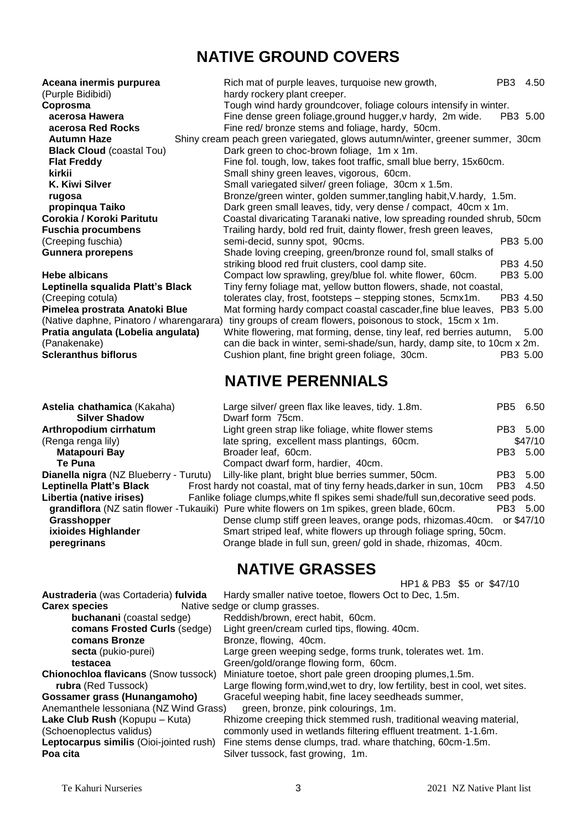# **NATIVE GROUND COVERS**

| Aceana inermis purpurea<br>(Purple Bidibidi) | Rich mat of purple leaves, turquoise new growth,<br>hardy rockery plant creeper. | PB <sub>3</sub><br>4.50 |
|----------------------------------------------|----------------------------------------------------------------------------------|-------------------------|
| Coprosma                                     | Tough wind hardy groundcover, foliage colours intensify in winter.               |                         |
| acerosa Hawera                               | Fine dense green foliage, ground hugger, v hardy, 2m wide.                       | PB3 5.00                |
| acerosa Red Rocks                            | Fine red/ bronze stems and foliage, hardy, 50cm.                                 |                         |
| <b>Autumn Haze</b>                           | Shiny cream peach green variegated, glows autumn/winter, greener summer, 30cm    |                         |
| <b>Black Cloud (coastal Tou)</b>             | Dark green to choc-brown foliage, 1m x 1m.                                       |                         |
| <b>Flat Freddy</b>                           | Fine fol. tough, low, takes foot traffic, small blue berry, 15x60cm.             |                         |
| kirkii                                       | Small shiny green leaves, vigorous, 60cm.                                        |                         |
| K. Kiwi Silver                               | Small variegated silver/green foliage, 30cm x 1.5m.                              |                         |
| rugosa                                       | Bronze/green winter, golden summer, tangling habit, V. hardy, 1.5m.              |                         |
| propinqua Taiko                              | Dark green small leaves, tidy, very dense / compact, 40cm x 1m.                  |                         |
| Corokia / Koroki Paritutu                    | Coastal divaricating Taranaki native, low spreading rounded shrub, 50cm          |                         |
| Fuschia procumbens                           | Trailing hardy, bold red fruit, dainty flower, fresh green leaves,               |                         |
| (Creeping fuschia)                           | semi-decid, sunny spot, 90cms.                                                   | PB3 5.00                |
| Gunnera prorepens                            | Shade loving creeping, green/bronze round fol, small stalks of                   |                         |
|                                              | striking blood red fruit clusters, cool damp site.                               | PB3 4.50                |
| Hebe albicans                                | Compact low sprawling, grey/blue fol. white flower, 60cm.                        | PB3 5.00                |
| Leptinella squalida Platt's Black            | Tiny ferny foliage mat, yellow button flowers, shade, not coastal,               |                         |
| (Creeping cotula)                            | tolerates clay, frost, footsteps - stepping stones, 5cmx1m.                      | PB3 4.50                |
| Pimelea prostrata Anatoki Blue               | Mat forming hardy compact coastal cascader, fine blue leaves, PB3 5.00           |                         |
| (Native daphne, Pinatoro / wharengarara)     | tiny groups of cream flowers, poisonous to stock, 15cm x 1m.                     |                         |
| Pratia angulata (Lobelia angulata)           | White flowering, mat forming, dense, tiny leaf, red berries autumn, 5.00         |                         |
| (Panakenake)                                 | can die back in winter, semi-shade/sun, hardy, damp site, to 10cm x 2m.          |                         |
| <b>Scleranthus biflorus</b>                  | Cushion plant, fine bright green foliage, 30cm.                                  | PB3 5.00                |
|                                              | NATIVE DEDENNIAI C                                                               |                         |

#### **Astelia chathamica** (Kakaha) **Silver Shadow Arthropodium cirrhatum** (Renga renga lily) **Matapouri Bay** Te Puna **Dianella nigra (NZ Blueberry -**Leptinella Platt's Black Libertia (native irises) grandiflora (NZ satin flower -**Grasshopper** ixioides Highlander<br>

# **NATIVE PERENNIALS**

| stelia chathamica (Kakaha)                    | Large silver/ green flax like leaves, tidy. 1.8m.                                           | PB <sub>5</sub> | 6.50    |
|-----------------------------------------------|---------------------------------------------------------------------------------------------|-----------------|---------|
| <b>Silver Shadow</b>                          | Dwarf form 75cm.                                                                            |                 |         |
| rthropodium cirrhatum                         | Light green strap like foliage, white flower stems                                          | PB3 5.00        |         |
| Renga renga lily)                             | late spring, excellent mass plantings, 60cm.                                                |                 | \$47/10 |
| <b>Matapouri Bay</b>                          | Broader leaf, 60cm.                                                                         | PB3 5.00        |         |
| Te Puna                                       | Compact dwarf form, hardier, 40cm.                                                          |                 |         |
| <b>iianella nigra</b> (NZ Blueberry - Turutu) | Lilly-like plant, bright blue berries summer, 50cm.                                         | PB <sub>3</sub> | - 5.00  |
| eptinella Platt's Black                       | Frost hardy not coastal, mat of tiny ferny heads, darker in sun, 10cm                       | PB3 4.50        |         |
| ibertia (native irises)                       | Fanlike foliage clumps, white fl spikes semi shade/full sun, decorative seed pods.          |                 |         |
|                                               | grandiflora (NZ satin flower -Tukauiki) Pure white flowers on 1m spikes, green blade, 60cm. | PB3 5.00        |         |
| Grasshopper                                   | Dense clump stiff green leaves, orange pods, rhizomas.40cm. or \$47/10                      |                 |         |
| ixioides Highlander                           | Smart striped leaf, white flowers up through foliage spring, 50cm.                          |                 |         |
| peregrinans                                   | Orange blade in full sun, green/ gold in shade, rhizomas, 40cm.                             |                 |         |

### **NATIVE GRASSES**

|                                                                               | HP1 & PB3 \$5 or \$47/10                                                      |  |
|-------------------------------------------------------------------------------|-------------------------------------------------------------------------------|--|
| Austraderia (was Cortaderia) fulvida                                          | Hardy smaller native toetoe, flowers Oct to Dec, 1.5m.                        |  |
| <b>Carex species</b>                                                          | Native sedge or clump grasses.                                                |  |
| <b>buchanani</b> (coastal sedge)                                              | Reddish/brown, erect habit, 60cm.                                             |  |
| comans Frosted Curls (sedge)                                                  | Light green/cream curled tips, flowing. 40cm.                                 |  |
| comans Bronze                                                                 | Bronze, flowing, 40cm.                                                        |  |
| secta (pukio-purei)                                                           | Large green weeping sedge, forms trunk, tolerates wet. 1m.                    |  |
| testacea                                                                      | Green/gold/orange flowing form, 60cm.                                         |  |
| <b>Chionochloa flavicans (Snow tussock)</b>                                   | Miniature toetoe, short pale green drooping plumes, 1.5m.                     |  |
| rubra (Red Tussock)                                                           | Large flowing form, wind, wet to dry, low fertility, best in cool, wet sites. |  |
| Gossamer grass (Hunangamoho)                                                  | Graceful weeping habit, fine lacey seedheads summer,                          |  |
| Anemanthele lessoniana (NZ Wind Grass)<br>green, bronze, pink colourings, 1m. |                                                                               |  |
| Lake Club Rush (Kopupu - Kuta)                                                | Rhizome creeping thick stemmed rush, traditional weaving material,            |  |
| (Schoenoplectus validus)                                                      | commonly used in wetlands filtering effluent treatment. 1-1.6m.               |  |
| Leptocarpus similis (Oioi-jointed rush)                                       | Fine stems dense clumps, trad. whare thatching, 60cm-1.5m.                    |  |
| Poa cita                                                                      | Silver tussock, fast growing, 1m.                                             |  |